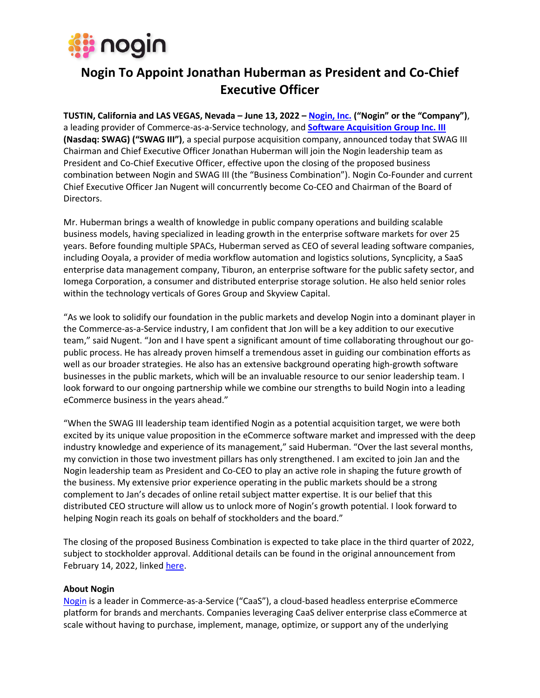

# **Nogin To Appoint Jonathan Huberman as President and Co-Chief Executive Officer**

**TUSTIN, California and LAS VEGAS, Nevada – June 13, 2022 – [Nogin, Inc.](https://nogin.com/) ("Nogin" or the "Company")**, a leading provider of Commerce-as-a-Service technology, and **[Software Acquisition Group Inc. III](https://www.globenewswire.com/en/search/organization/Software%2520Acquisition%2520Group%2520Inc%C2%A7%2520III) (Nasdaq: SWAG) ("SWAG III")**, a special purpose acquisition company, announced today that SWAG III Chairman and Chief Executive Officer Jonathan Huberman will join the Nogin leadership team as President and Co-Chief Executive Officer, effective upon the closing of the proposed business combination between Nogin and SWAG III (the "Business Combination"). Nogin Co-Founder and current Chief Executive Officer Jan Nugent will concurrently become Co-CEO and Chairman of the Board of Directors.

Mr. Huberman brings a wealth of knowledge in public company operations and building scalable business models, having specialized in leading growth in the enterprise software markets for over 25 years. Before founding multiple SPACs, Huberman served as CEO of several leading software companies, including Ooyala, a provider of media workflow automation and logistics solutions, Syncplicity, a SaaS enterprise data management company, Tiburon, an enterprise software for the public safety sector, and Iomega Corporation, a consumer and distributed enterprise storage solution. He also held senior roles within the technology verticals of Gores Group and Skyview Capital.

"As we look to solidify our foundation in the public markets and develop Nogin into a dominant player in the Commerce-as-a-Service industry, I am confident that Jon will be a key addition to our executive team," said Nugent. "Jon and I have spent a significant amount of time collaborating throughout our gopublic process. He has already proven himself a tremendous asset in guiding our combination efforts as well as our broader strategies. He also has an extensive background operating high-growth software businesses in the public markets, which will be an invaluable resource to our senior leadership team. I look forward to our ongoing partnership while we combine our strengths to build Nogin into a leading eCommerce business in the years ahead."

"When the SWAG III leadership team identified Nogin as a potential acquisition target, we were both excited by its unique value proposition in the eCommerce software market and impressed with the deep industry knowledge and experience of its management," said Huberman. "Over the last several months, my conviction in those two investment pillars has only strengthened. I am excited to join Jan and the Nogin leadership team as President and Co-CEO to play an active role in shaping the future growth of the business. My extensive prior experience operating in the public markets should be a strong complement to Jan's decades of online retail subject matter expertise. It is our belief that this distributed CEO structure will allow us to unlock more of Nogin's growth potential. I look forward to helping Nogin reach its goals on behalf of stockholders and the board."

The closing of the proposed Business Combination is expected to take place in the third quarter of 2022, subject to stockholder approval. Additional details can be found in the original announcement from February 14, 2022, linked [here.](https://www.globenewswire.com/news-release/2022/02/14/2384757/0/en/Nogin-a-Leading-Commerce-as-a-Service-Platform-to-Become-Publicly-Traded-Through-Combination-with-Software-Acquisition-Group-III.html)

#### **About Nogin**

[Nogin](https://www.globenewswire.com/Tracker?data=zZFEshWsMArOiy5Hg6X_-SB1SF2Js5Pf-l1cjLu7jsy2NpDeMtpYvLYKr7uwc2fD) is a leader in Commerce-as-a-Service ("CaaS"), a cloud-based headless enterprise eCommerce platform for brands and merchants. Companies leveraging CaaS deliver enterprise class eCommerce at scale without having to purchase, implement, manage, optimize, or support any of the underlying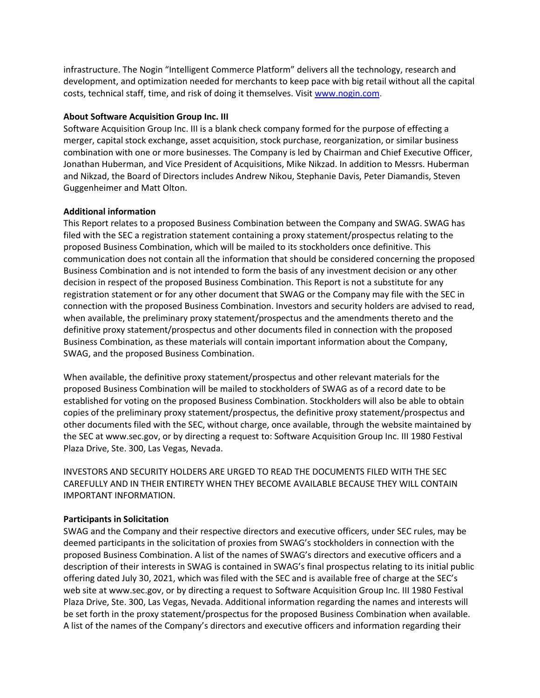infrastructure. The Nogin "Intelligent Commerce Platform" delivers all the technology, research and development, and optimization needed for merchants to keep pace with big retail without all the capital costs, technical staff, time, and risk of doing it themselves. Visit [www.nogin.com.](https://www.globenewswire.com/Tracker?data=8o4k_BvgxSplzS5fRdO7xQ8BppGTRgG5b6nt0WY0yoeFjn4y4EF5AvOUy3UO003Xagq7vO6p9tC1hlmpE1YC2g==)

### **About Software Acquisition Group Inc. III**

Software Acquisition Group Inc. III is a blank check company formed for the purpose of effecting a merger, capital stock exchange, asset acquisition, stock purchase, reorganization, or similar business combination with one or more businesses. The Company is led by Chairman and Chief Executive Officer, Jonathan Huberman, and Vice President of Acquisitions, Mike Nikzad. In addition to Messrs. Huberman and Nikzad, the Board of Directors includes Andrew Nikou, Stephanie Davis, Peter Diamandis, Steven Guggenheimer and Matt Olton.

# **Additional information**

This Report relates to a proposed Business Combination between the Company and SWAG. SWAG has filed with the SEC a registration statement containing a proxy statement/prospectus relating to the proposed Business Combination, which will be mailed to its stockholders once definitive. This communication does not contain all the information that should be considered concerning the proposed Business Combination and is not intended to form the basis of any investment decision or any other decision in respect of the proposed Business Combination. This Report is not a substitute for any registration statement or for any other document that SWAG or the Company may file with the SEC in connection with the proposed Business Combination. Investors and security holders are advised to read, when available, the preliminary proxy statement/prospectus and the amendments thereto and the definitive proxy statement/prospectus and other documents filed in connection with the proposed Business Combination, as these materials will contain important information about the Company, SWAG, and the proposed Business Combination.

When available, the definitive proxy statement/prospectus and other relevant materials for the proposed Business Combination will be mailed to stockholders of SWAG as of a record date to be established for voting on the proposed Business Combination. Stockholders will also be able to obtain copies of the preliminary proxy statement/prospectus, the definitive proxy statement/prospectus and other documents filed with the SEC, without charge, once available, through the website maintained by the SEC at www.sec.gov, or by directing a request to: Software Acquisition Group Inc. III 1980 Festival Plaza Drive, Ste. 300, Las Vegas, Nevada.

INVESTORS AND SECURITY HOLDERS ARE URGED TO READ THE DOCUMENTS FILED WITH THE SEC CAREFULLY AND IN THEIR ENTIRETY WHEN THEY BECOME AVAILABLE BECAUSE THEY WILL CONTAIN IMPORTANT INFORMATION.

# **Participants in Solicitation**

SWAG and the Company and their respective directors and executive officers, under SEC rules, may be deemed participants in the solicitation of proxies from SWAG's stockholders in connection with the proposed Business Combination. A list of the names of SWAG's directors and executive officers and a description of their interests in SWAG is contained in SWAG's final prospectus relating to its initial public offering dated July 30, 2021, which was filed with the SEC and is available free of charge at the SEC's web site at www.sec.gov, or by directing a request to Software Acquisition Group Inc. III 1980 Festival Plaza Drive, Ste. 300, Las Vegas, Nevada. Additional information regarding the names and interests will be set forth in the proxy statement/prospectus for the proposed Business Combination when available. A list of the names of the Company's directors and executive officers and information regarding their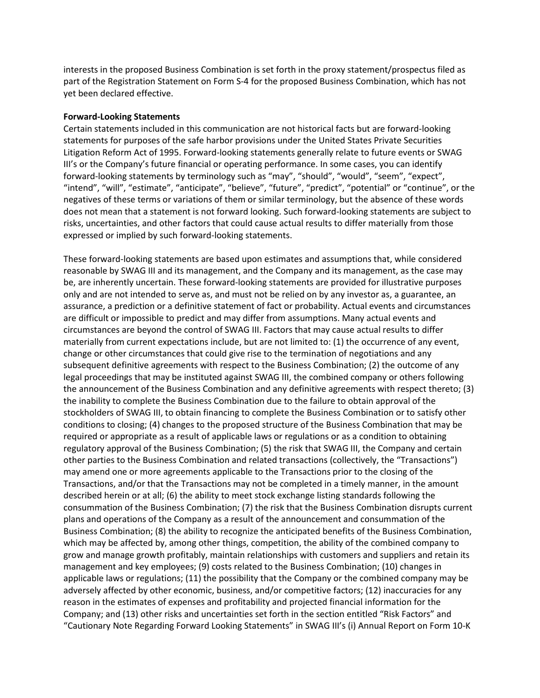interests in the proposed Business Combination is set forth in the proxy statement/prospectus filed as part of the Registration Statement on Form S-4 for the proposed Business Combination, which has not yet been declared effective.

#### **Forward-Looking Statements**

Certain statements included in this communication are not historical facts but are forward-looking statements for purposes of the safe harbor provisions under the United States Private Securities Litigation Reform Act of 1995. Forward-looking statements generally relate to future events or SWAG III's or the Company's future financial or operating performance. In some cases, you can identify forward-looking statements by terminology such as "may", "should", "would", "seem", "expect", "intend", "will", "estimate", "anticipate", "believe", "future", "predict", "potential" or "continue", or the negatives of these terms or variations of them or similar terminology, but the absence of these words does not mean that a statement is not forward looking. Such forward-looking statements are subject to risks, uncertainties, and other factors that could cause actual results to differ materially from those expressed or implied by such forward-looking statements.

These forward-looking statements are based upon estimates and assumptions that, while considered reasonable by SWAG III and its management, and the Company and its management, as the case may be, are inherently uncertain. These forward-looking statements are provided for illustrative purposes only and are not intended to serve as, and must not be relied on by any investor as, a guarantee, an assurance, a prediction or a definitive statement of fact or probability. Actual events and circumstances are difficult or impossible to predict and may differ from assumptions. Many actual events and circumstances are beyond the control of SWAG III. Factors that may cause actual results to differ materially from current expectations include, but are not limited to: (1) the occurrence of any event, change or other circumstances that could give rise to the termination of negotiations and any subsequent definitive agreements with respect to the Business Combination; (2) the outcome of any legal proceedings that may be instituted against SWAG III, the combined company or others following the announcement of the Business Combination and any definitive agreements with respect thereto; (3) the inability to complete the Business Combination due to the failure to obtain approval of the stockholders of SWAG III, to obtain financing to complete the Business Combination or to satisfy other conditions to closing; (4) changes to the proposed structure of the Business Combination that may be required or appropriate as a result of applicable laws or regulations or as a condition to obtaining regulatory approval of the Business Combination; (5) the risk that SWAG III, the Company and certain other parties to the Business Combination and related transactions (collectively, the "Transactions") may amend one or more agreements applicable to the Transactions prior to the closing of the Transactions, and/or that the Transactions may not be completed in a timely manner, in the amount described herein or at all; (6) the ability to meet stock exchange listing standards following the consummation of the Business Combination; (7) the risk that the Business Combination disrupts current plans and operations of the Company as a result of the announcement and consummation of the Business Combination; (8) the ability to recognize the anticipated benefits of the Business Combination, which may be affected by, among other things, competition, the ability of the combined company to grow and manage growth profitably, maintain relationships with customers and suppliers and retain its management and key employees; (9) costs related to the Business Combination; (10) changes in applicable laws or regulations; (11) the possibility that the Company or the combined company may be adversely affected by other economic, business, and/or competitive factors; (12) inaccuracies for any reason in the estimates of expenses and profitability and projected financial information for the Company; and (13) other risks and uncertainties set forth in the section entitled "Risk Factors" and "Cautionary Note Regarding Forward Looking Statements" in SWAG III's (i) Annual Report on Form 10-K